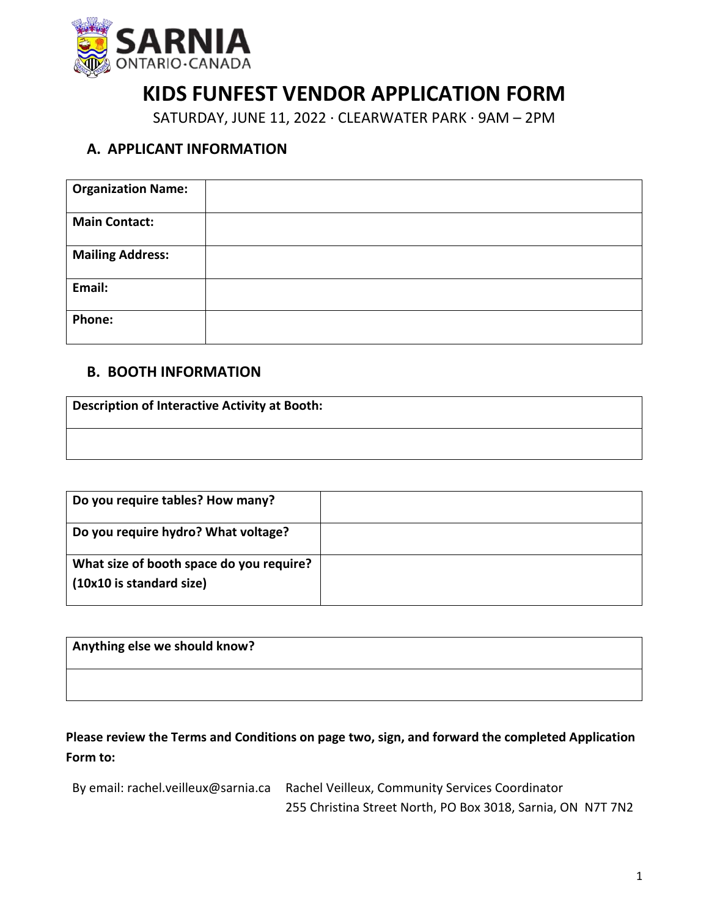

## **KIDS FUNFEST VENDOR APPLICATION FORM**

SATURDAY, JUNE 11, 2022 ∙ CLEARWATER PARK ∙ 9AM – 2PM

## **A. APPLICANT INFORMATION**

| <b>Organization Name:</b> |  |
|---------------------------|--|
| <b>Main Contact:</b>      |  |
| <b>Mailing Address:</b>   |  |
| Email:                    |  |
| Phone:                    |  |

## **B. BOOTH INFORMATION**

| <b>Description of Interactive Activity at Booth:</b> |  |
|------------------------------------------------------|--|
|                                                      |  |

| Do you require tables? How many?                                     |  |
|----------------------------------------------------------------------|--|
| Do you require hydro? What voltage?                                  |  |
| What size of booth space do you require?<br>(10x10 is standard size) |  |

| Anything else we should know? |  |
|-------------------------------|--|
|                               |  |

**Please review the Terms and Conditions on page two, sign, and forward the completed Application Form to:**

| By email: rachel.veilleux@sarnia.ca Rachel Veilleux, Community Services Coordinator |  |
|-------------------------------------------------------------------------------------|--|
| 255 Christina Street North, PO Box 3018, Sarnia, ON N7T 7N2                         |  |